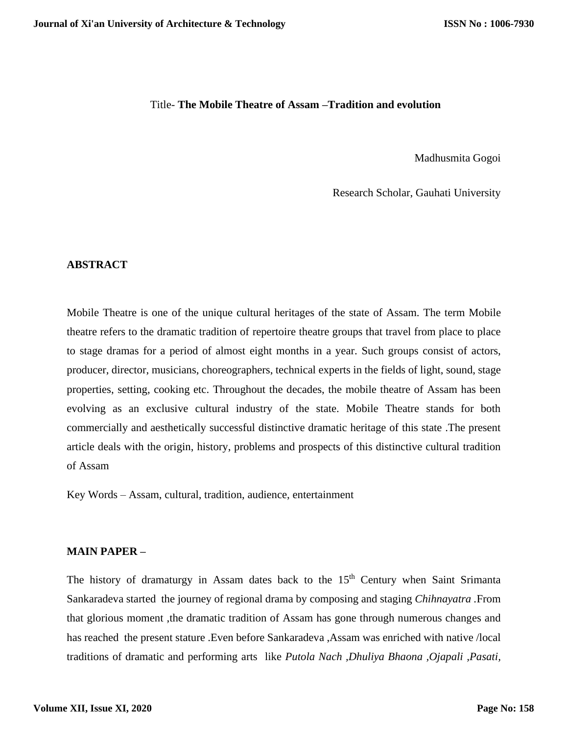#### Title- **The Mobile Theatre of Assam –Tradition and evolution**

Madhusmita Gogoi

Research Scholar, Gauhati University

#### **ABSTRACT**

Mobile Theatre is one of the unique cultural heritages of the state of Assam. The term Mobile theatre refers to the dramatic tradition of repertoire theatre groups that travel from place to place to stage dramas for a period of almost eight months in a year. Such groups consist of actors, producer, director, musicians, choreographers, technical experts in the fields of light, sound, stage properties, setting, cooking etc. Throughout the decades, the mobile theatre of Assam has been evolving as an exclusive cultural industry of the state. Mobile Theatre stands for both commercially and aesthetically successful distinctive dramatic heritage of this state .The present article deals with the origin, history, problems and prospects of this distinctive cultural tradition of Assam

Key Words – Assam, cultural, tradition, audience, entertainment

#### **MAIN PAPER –**

The history of dramaturgy in Assam dates back to the 15<sup>th</sup> Century when Saint Srimanta Sankaradeva started the journey of regional drama by composing and staging *Chihnayatra .*From that glorious moment ,the dramatic tradition of Assam has gone through numerous changes and has reached the present stature .Even before Sankaradeva ,Assam was enriched with native /local traditions of dramatic and performing arts like *Putola Nach ,Dhuliya Bhaona ,Ojapali ,Pasati,*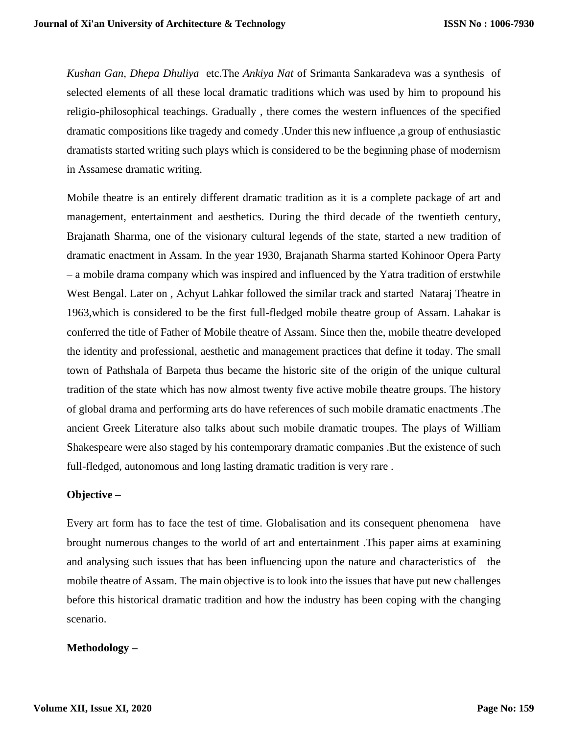*Kushan Gan, Dhepa Dhuliya* etc.The *Ankiya Nat* of Srimanta Sankaradeva was a synthesis of selected elements of all these local dramatic traditions which was used by him to propound his religio-philosophical teachings. Gradually , there comes the western influences of the specified dramatic compositions like tragedy and comedy .Under this new influence ,a group of enthusiastic dramatists started writing such plays which is considered to be the beginning phase of modernism in Assamese dramatic writing.

Mobile theatre is an entirely different dramatic tradition as it is a complete package of art and management, entertainment and aesthetics. During the third decade of the twentieth century, Brajanath Sharma, one of the visionary cultural legends of the state, started a new tradition of dramatic enactment in Assam. In the year 1930, Brajanath Sharma started Kohinoor Opera Party – a mobile drama company which was inspired and influenced by the Yatra tradition of erstwhile West Bengal. Later on , Achyut Lahkar followed the similar track and started Nataraj Theatre in 1963,which is considered to be the first full-fledged mobile theatre group of Assam. Lahakar is conferred the title of Father of Mobile theatre of Assam. Since then the, mobile theatre developed the identity and professional, aesthetic and management practices that define it today. The small town of Pathshala of Barpeta thus became the historic site of the origin of the unique cultural tradition of the state which has now almost twenty five active mobile theatre groups. The history of global drama and performing arts do have references of such mobile dramatic enactments .The ancient Greek Literature also talks about such mobile dramatic troupes. The plays of William Shakespeare were also staged by his contemporary dramatic companies .But the existence of such full-fledged, autonomous and long lasting dramatic tradition is very rare .

## **Objective –**

Every art form has to face the test of time. Globalisation and its consequent phenomena have brought numerous changes to the world of art and entertainment .This paper aims at examining and analysing such issues that has been influencing upon the nature and characteristics of the mobile theatre of Assam. The main objective is to look into the issues that have put new challenges before this historical dramatic tradition and how the industry has been coping with the changing scenario.

## **Methodology –**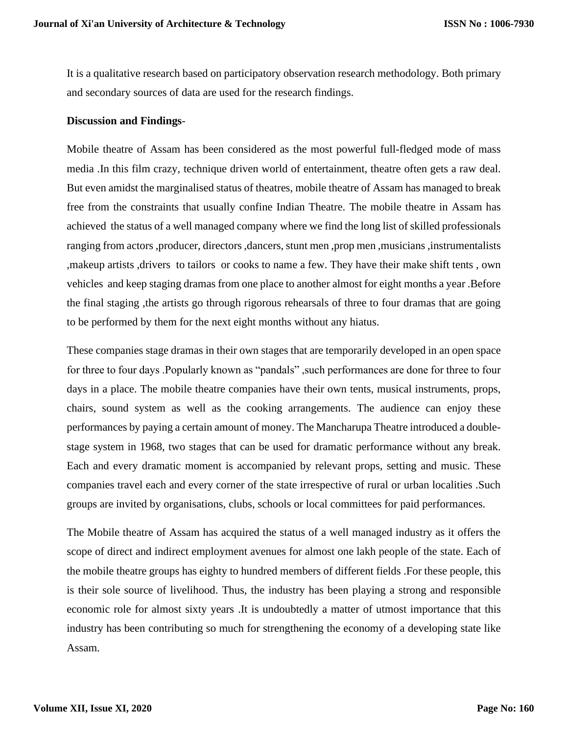It is a qualitative research based on participatory observation research methodology. Both primary and secondary sources of data are used for the research findings.

#### **Discussion and Findings**-

Mobile theatre of Assam has been considered as the most powerful full-fledged mode of mass media .In this film crazy, technique driven world of entertainment, theatre often gets a raw deal. But even amidst the marginalised status of theatres, mobile theatre of Assam has managed to break free from the constraints that usually confine Indian Theatre. The mobile theatre in Assam has achieved the status of a well managed company where we find the long list of skilled professionals ranging from actors ,producer, directors ,dancers, stunt men ,prop men ,musicians ,instrumentalists ,makeup artists ,drivers to tailors or cooks to name a few. They have their make shift tents , own vehicles and keep staging dramas from one place to another almost for eight months a year .Before the final staging ,the artists go through rigorous rehearsals of three to four dramas that are going to be performed by them for the next eight months without any hiatus.

These companies stage dramas in their own stages that are temporarily developed in an open space for three to four days .Popularly known as "pandals" ,such performances are done for three to four days in a place. The mobile theatre companies have their own tents, musical instruments, props, chairs, sound system as well as the cooking arrangements. The audience can enjoy these performances by paying a certain amount of money. The Mancharupa Theatre introduced a doublestage system in 1968, two stages that can be used for dramatic performance without any break. Each and every dramatic moment is accompanied by relevant props, setting and music. These companies travel each and every corner of the state irrespective of rural or urban localities .Such groups are invited by organisations, clubs, schools or local committees for paid performances.

The Mobile theatre of Assam has acquired the status of a well managed industry as it offers the scope of direct and indirect employment avenues for almost one lakh people of the state. Each of the mobile theatre groups has eighty to hundred members of different fields .For these people, this is their sole source of livelihood. Thus, the industry has been playing a strong and responsible economic role for almost sixty years .It is undoubtedly a matter of utmost importance that this industry has been contributing so much for strengthening the economy of a developing state like Assam.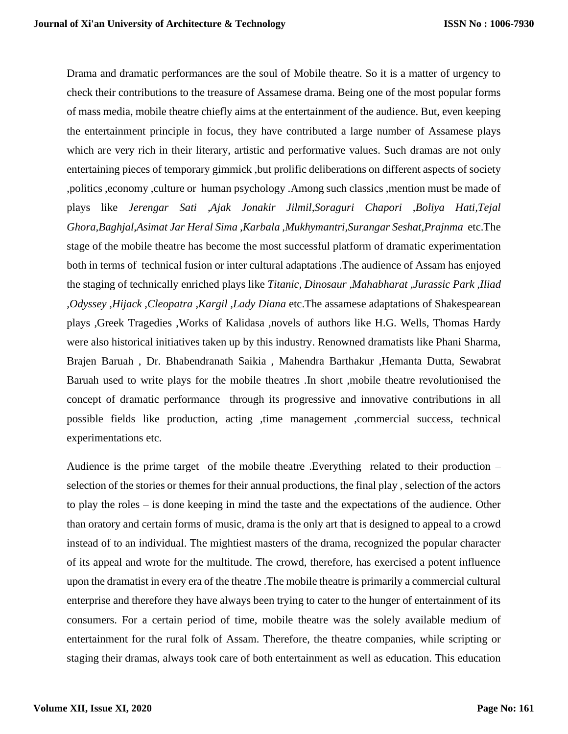Drama and dramatic performances are the soul of Mobile theatre. So it is a matter of urgency to check their contributions to the treasure of Assamese drama. Being one of the most popular forms of mass media, mobile theatre chiefly aims at the entertainment of the audience. But, even keeping the entertainment principle in focus, they have contributed a large number of Assamese plays which are very rich in their literary, artistic and performative values. Such dramas are not only entertaining pieces of temporary gimmick ,but prolific deliberations on different aspects of society ,politics ,economy ,culture or human psychology .Among such classics ,mention must be made of plays like *Jerengar Sati ,Ajak Jonakir Jilmil,Soraguri Chapori ,Boliya Hati,Tejal Ghora,Baghjal,Asimat Jar Heral Sima ,Karbala ,Mukhymantri,Surangar Seshat,Prajnma* etc.The stage of the mobile theatre has become the most successful platform of dramatic experimentation both in terms of technical fusion or inter cultural adaptations .The audience of Assam has enjoyed the staging of technically enriched plays like *Titanic, Dinosaur ,Mahabharat ,Jurassic Park ,Iliad ,Odyssey ,Hijack ,Cleopatra ,Kargil ,Lady Diana* etc.The assamese adaptations of Shakespearean plays ,Greek Tragedies ,Works of Kalidasa ,novels of authors like H.G. Wells, Thomas Hardy were also historical initiatives taken up by this industry. Renowned dramatists like Phani Sharma, Brajen Baruah , Dr. Bhabendranath Saikia , Mahendra Barthakur ,Hemanta Dutta, Sewabrat Baruah used to write plays for the mobile theatres .In short ,mobile theatre revolutionised the concept of dramatic performance through its progressive and innovative contributions in all possible fields like production, acting ,time management ,commercial success, technical experimentations etc.

Audience is the prime target of the mobile theatre .Everything related to their production – selection of the stories or themes for their annual productions, the final play , selection of the actors to play the roles – is done keeping in mind the taste and the expectations of the audience. Other than oratory and certain forms of music, drama is the only art that is designed to appeal to a crowd instead of to an individual. The mightiest masters of the drama, recognized the popular character of its appeal and wrote for the multitude. The crowd, therefore, has exercised a potent influence upon the dramatist in every era of the theatre .The mobile theatre is primarily a commercial cultural enterprise and therefore they have always been trying to cater to the hunger of entertainment of its consumers. For a certain period of time, mobile theatre was the solely available medium of entertainment for the rural folk of Assam. Therefore, the theatre companies, while scripting or staging their dramas, always took care of both entertainment as well as education. This education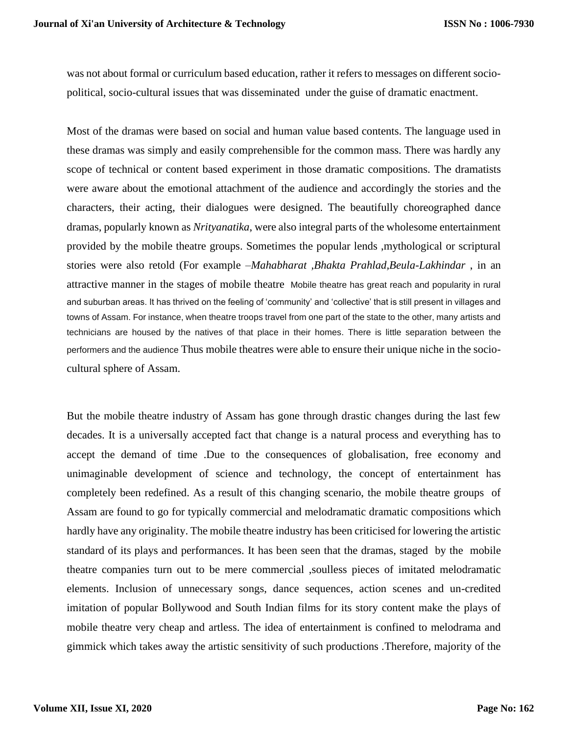was not about formal or curriculum based education, rather it refers to messages on different sociopolitical, socio-cultural issues that was disseminated under the guise of dramatic enactment.

Most of the dramas were based on social and human value based contents. The language used in these dramas was simply and easily comprehensible for the common mass. There was hardly any scope of technical or content based experiment in those dramatic compositions. The dramatists were aware about the emotional attachment of the audience and accordingly the stories and the characters, their acting, their dialogues were designed. The beautifully choreographed dance dramas, popularly known as *Nrityanatika*, were also integral parts of the wholesome entertainment provided by the mobile theatre groups. Sometimes the popular lends ,mythological or scriptural stories were also retold (For example –*Mahabharat ,Bhakta Prahlad,Beula-Lakhindar* , in an attractive manner in the stages of mobile theatre Mobile theatre has great reach and popularity in rural and suburban areas. It has thrived on the feeling of 'community' and 'collective' that is still present in villages and towns of Assam. For instance, when theatre troops travel from one part of the state to the other, many artists and technicians are housed by the natives of that place in their homes. There is little separation between the performers and the audience Thus mobile theatres were able to ensure their unique niche in the sociocultural sphere of Assam.

But the mobile theatre industry of Assam has gone through drastic changes during the last few decades. It is a universally accepted fact that change is a natural process and everything has to accept the demand of time .Due to the consequences of globalisation, free economy and unimaginable development of science and technology, the concept of entertainment has completely been redefined. As a result of this changing scenario, the mobile theatre groups of Assam are found to go for typically commercial and melodramatic dramatic compositions which hardly have any originality. The mobile theatre industry has been criticised for lowering the artistic standard of its plays and performances. It has been seen that the dramas, staged by the mobile theatre companies turn out to be mere commercial ,soulless pieces of imitated melodramatic elements. Inclusion of unnecessary songs, dance sequences, action scenes and un-credited imitation of popular Bollywood and South Indian films for its story content make the plays of mobile theatre very cheap and artless. The idea of entertainment is confined to melodrama and gimmick which takes away the artistic sensitivity of such productions .Therefore, majority of the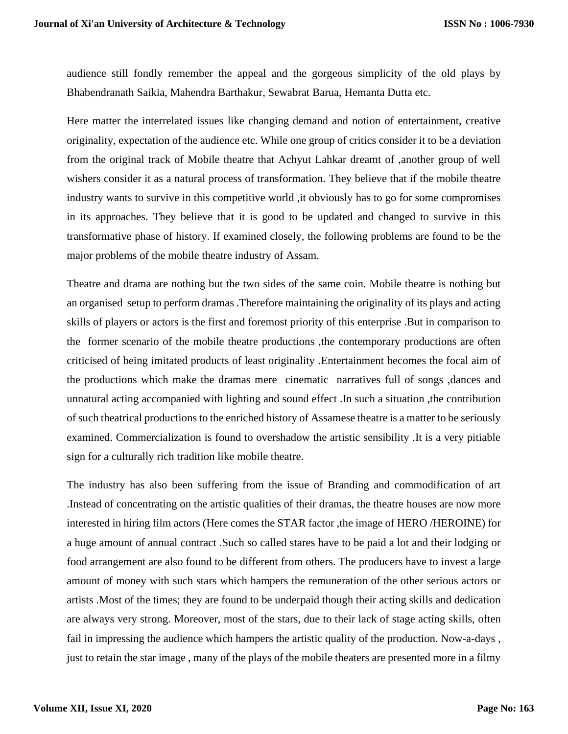audience still fondly remember the appeal and the gorgeous simplicity of the old plays by Bhabendranath Saikia, Mahendra Barthakur, Sewabrat Barua, Hemanta Dutta etc.

Here matter the interrelated issues like changing demand and notion of entertainment, creative originality, expectation of the audience etc. While one group of critics consider it to be a deviation from the original track of Mobile theatre that Achyut Lahkar dreamt of ,another group of well wishers consider it as a natural process of transformation. They believe that if the mobile theatre industry wants to survive in this competitive world ,it obviously has to go for some compromises in its approaches. They believe that it is good to be updated and changed to survive in this transformative phase of history. If examined closely, the following problems are found to be the major problems of the mobile theatre industry of Assam.

Theatre and drama are nothing but the two sides of the same coin. Mobile theatre is nothing but an organised setup to perform dramas .Therefore maintaining the originality of its plays and acting skills of players or actors is the first and foremost priority of this enterprise .But in comparison to the former scenario of the mobile theatre productions ,the contemporary productions are often criticised of being imitated products of least originality .Entertainment becomes the focal aim of the productions which make the dramas mere cinematic narratives full of songs ,dances and unnatural acting accompanied with lighting and sound effect .In such a situation ,the contribution of such theatrical productions to the enriched history of Assamese theatre is a matter to be seriously examined. Commercialization is found to overshadow the artistic sensibility .It is a very pitiable sign for a culturally rich tradition like mobile theatre.

The industry has also been suffering from the issue of Branding and commodification of art .Instead of concentrating on the artistic qualities of their dramas, the theatre houses are now more interested in hiring film actors (Here comes the STAR factor, the image of HERO /HEROINE) for a huge amount of annual contract .Such so called stares have to be paid a lot and their lodging or food arrangement are also found to be different from others. The producers have to invest a large amount of money with such stars which hampers the remuneration of the other serious actors or artists .Most of the times; they are found to be underpaid though their acting skills and dedication are always very strong. Moreover, most of the stars, due to their lack of stage acting skills, often fail in impressing the audience which hampers the artistic quality of the production. Now-a-days , just to retain the star image , many of the plays of the mobile theaters are presented more in a filmy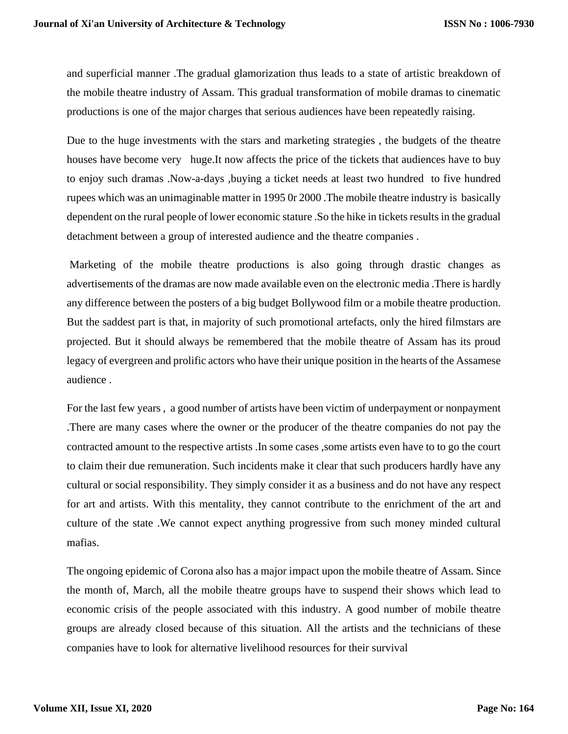and superficial manner .The gradual glamorization thus leads to a state of artistic breakdown of the mobile theatre industry of Assam. This gradual transformation of mobile dramas to cinematic productions is one of the major charges that serious audiences have been repeatedly raising.

Due to the huge investments with the stars and marketing strategies , the budgets of the theatre houses have become very huge.It now affects the price of the tickets that audiences have to buy to enjoy such dramas .Now-a-days ,buying a ticket needs at least two hundred to five hundred rupees which was an unimaginable matter in 1995 0r 2000 .The mobile theatre industry is basically dependent on the rural people of lower economic stature .So the hike in tickets results in the gradual detachment between a group of interested audience and the theatre companies .

Marketing of the mobile theatre productions is also going through drastic changes as advertisements of the dramas are now made available even on the electronic media .There is hardly any difference between the posters of a big budget Bollywood film or a mobile theatre production. But the saddest part is that, in majority of such promotional artefacts, only the hired filmstars are projected. But it should always be remembered that the mobile theatre of Assam has its proud legacy of evergreen and prolific actors who have their unique position in the hearts of the Assamese audience .

For the last few years , a good number of artists have been victim of underpayment or nonpayment .There are many cases where the owner or the producer of the theatre companies do not pay the contracted amount to the respective artists .In some cases ,some artists even have to to go the court to claim their due remuneration. Such incidents make it clear that such producers hardly have any cultural or social responsibility. They simply consider it as a business and do not have any respect for art and artists. With this mentality, they cannot contribute to the enrichment of the art and culture of the state .We cannot expect anything progressive from such money minded cultural mafias.

The ongoing epidemic of Corona also has a major impact upon the mobile theatre of Assam. Since the month of, March, all the mobile theatre groups have to suspend their shows which lead to economic crisis of the people associated with this industry. A good number of mobile theatre groups are already closed because of this situation. All the artists and the technicians of these companies have to look for alternative livelihood resources for their survival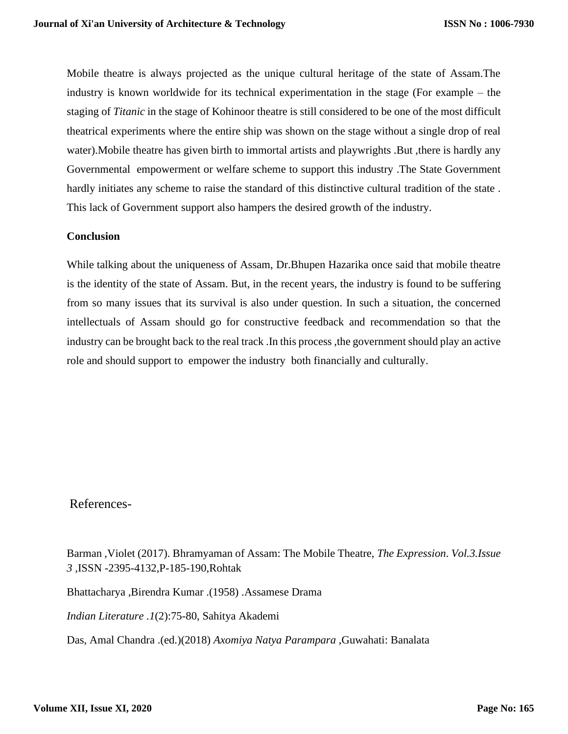Mobile theatre is always projected as the unique cultural heritage of the state of Assam.The industry is known worldwide for its technical experimentation in the stage (For example – the staging of *Titanic* in the stage of Kohinoor theatre is still considered to be one of the most difficult theatrical experiments where the entire ship was shown on the stage without a single drop of real water).Mobile theatre has given birth to immortal artists and playwrights .But ,there is hardly any Governmental empowerment or welfare scheme to support this industry .The State Government hardly initiates any scheme to raise the standard of this distinctive cultural tradition of the state . This lack of Government support also hampers the desired growth of the industry.

## **Conclusion**

While talking about the uniqueness of Assam, Dr.Bhupen Hazarika once said that mobile theatre is the identity of the state of Assam. But, in the recent years, the industry is found to be suffering from so many issues that its survival is also under question. In such a situation, the concerned intellectuals of Assam should go for constructive feedback and recommendation so that the industry can be brought back to the real track .In this process ,the government should play an active role and should support to empower the industry both financially and culturally.

# References-

Barman ,Violet (2017). Bhramyaman of Assam: The Mobile Theatre, *The Expression*. *Vol.3.Issue 3 ,*ISSN -2395-4132,P-185-190,Rohtak

Bhattacharya ,Birendra Kumar .(1958) .Assamese Drama

*Indian Literature .1*(2):75-80, Sahitya Akademi

Das, Amal Chandra .(ed.)(2018) *Axomiya Natya Parampara* ,Guwahati: Banalata